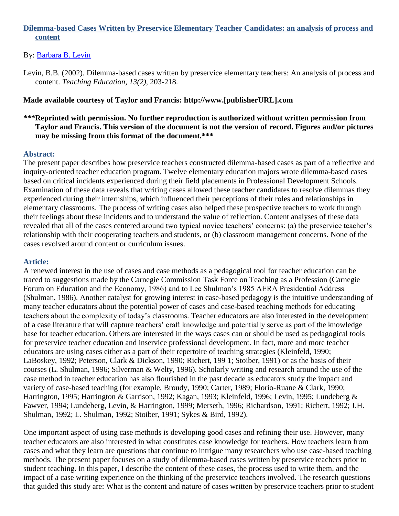## **Dilemma-based Cases Written by Preservice Elementary Teacher Candidates: an analysis of process and content**

#### By: [Barbara B. Levin](https://libres.uncg.edu/ir/uncg/clist.aspx?id=3332)

Levin, B.B. (2002). Dilemma-based cases written by preservice elementary teachers: An analysis of process and content. *Teaching Education, 13(2),* 203-218.

#### **Made available courtesy of Taylor and Francis: http://www.[publisherURL].com**

## **\*\*\*Reprinted with permission. No further reproduction is authorized without written permission from Taylor and Francis. This version of the document is not the version of record. Figures and/or pictures may be missing from this format of the document.\*\*\***

#### **Abstract:**

The present paper describes how preservice teachers constructed dilemma-based cases as part of a reflective and inquiry-oriented teacher education program. Twelve elementary education majors wrote dilemma-based cases based on critical incidents experienced during their field placements in Professional Development Schools. Examination of these data reveals that writing cases allowed these teacher candidates to resolve dilemmas they experienced during their internships, which influenced their perceptions of their roles and relationships in elementary classrooms. The process of writing cases also helped these prospective teachers to work through their feelings about these incidents and to understand the value of reflection. Content analyses of these data revealed that all of the cases centered around two typical novice teachers' concerns: (a) the preservice teacher's relationship with their cooperating teachers and students, or (b) classroom management concerns. None of the cases revolved around content or curriculum issues.

#### **Article:**

A renewed interest in the use of cases and case methods as a pedagogical tool for teacher education can be traced to suggestions made by the Carnegie Commission Task Force on Teaching as a Profession (Carnegie Forum on Education and the Economy, 1986) and to Lee Shulman's 1985 AERA Presidential Address (Shulman, 1986). Another catalyst for growing interest in case-based pedagogy is the intuitive understanding of many teacher educators about the potential power of cases and case-based teaching methods for educating teachers about the complexity of today's classrooms. Teacher educators are also interested in the development of a case literature that will capture teachers' craft knowledge and potentially serve as part of the knowledge base for teacher education. Others are interested in the ways cases can or should be used as pedagogical tools for preservice teacher education and inservice professional development. In fact, more and more teacher educators are using cases either as a part of their repertoire of teaching strategies (Kleinfeld, 1990; LaBoskey, 1992; Peterson, Clark & Dickson, 1990; Richert, 199 1; Stoiber, 1991) or as the basis of their courses (L. Shulman, 1996; Silverman & Welty, 1996). Scholarly writing and research around the use of the case method in teacher education has also flourished in the past decade as educators study the impact and variety of case-based teaching (for example, Broudy, 1990; Carter, 1989; Florio-Ruane & Clark, 1990; Harrington, 1995; Harrington & Garrison, 1992; Kagan, 1993; Kleinfeld, 1996; Levin, 1995; Lundeberg & Fawver, 1994; Lundeberg, Levin, & Harrington, 1999; Merseth, 1996; Richardson, 1991; Richert, 1992; J.H. Shulman, 1992; L. Shulman, 1992; Stoiber, 1991; Sykes & Bird, 1992).

One important aspect of using case methods is developing good cases and refining their use. However, many teacher educators are also interested in what constitutes case knowledge for teachers. How teachers learn from cases and what they learn are questions that continue to intrigue many researchers who use case-based teaching methods. The present paper focuses on a study of dilemma-based cases written by preservice teachers prior to student teaching. In this paper, I describe the content of these cases, the process used to write them, and the impact of a case writing experience on the thinking of the preservice teachers involved. The research questions that guided this study are: What is the content and nature of cases written by preservice teachers prior to student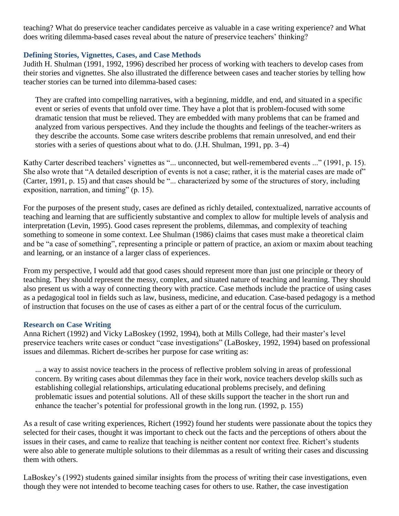teaching? What do preservice teacher candidates perceive as valuable in a case writing experience? and What does writing dilemma-based cases reveal about the nature of preservice teachers' thinking?

## **Defining Stories, Vignettes, Cases, and Case Methods**

Judith H. Shulman (1991, 1992, 1996) described her process of working with teachers to develop cases from their stories and vignettes. She also illustrated the difference between cases and teacher stories by telling how teacher stories can be turned into dilemma-based cases:

They are crafted into compelling narratives, with a beginning, middle, and end, and situated in a specific event or series of events that unfold over time. They have a plot that is problem-focused with some dramatic tension that must be relieved. They are embedded with many problems that can be framed and analyzed from various perspectives. And they include the thoughts and feelings of the teacher-writers as they describe the accounts. Some case writers describe problems that remain unresolved, and end their stories with a series of questions about what to do. (J.H. Shulman, 1991, pp. 3–4)

Kathy Carter described teachers' vignettes as "... unconnected, but well-remembered events ..." (1991, p. 15). She also wrote that "A detailed description of events is not a case; rather, it is the material cases are made of" (Carter, 1991, p. 15) and that cases should be "... characterized by some of the structures of story, including exposition, narration, and timing"  $(p. 15)$ .

For the purposes of the present study, cases are defined as richly detailed, contextualized, narrative accounts of teaching and learning that are sufficiently substantive and complex to allow for multiple levels of analysis and interpretation (Levin, 1995). Good cases represent the problems, dilemmas, and complexity of teaching something to someone in some context. Lee Shulman (1986) claims that cases must make a theoretical claim and be "a case of something", representing a principle or pattern of practice, an axiom or maxim about teaching and learning, or an instance of a larger class of experiences.

From my perspective, I would add that good cases should represent more than just one principle or theory of teaching. They should represent the messy, complex, and situated nature of teaching and learning. They should also present us with a way of connecting theory with practice. Case methods include the practice of using cases as a pedagogical tool in fields such as law, business, medicine, and education. Case-based pedagogy is a method of instruction that focuses on the use of cases as either a part of or the central focus of the curriculum.

## **Research on Case Writing**

Anna Richert (1992) and Vicky LaBoskey (1992, 1994), both at Mills College, had their master's level preservice teachers write cases or conduct "case investigations" (LaBoskey, 1992, 1994) based on professional issues and dilemmas. Richert de-scribes her purpose for case writing as:

... a way to assist novice teachers in the process of reflective problem solving in areas of professional concern. By writing cases about dilemmas they face in their work, novice teachers develop skills such as establishing collegial relationships, articulating educational problems precisely, and defining problematic issues and potential solutions. All of these skills support the teacher in the short run and enhance the teacher's potential for professional growth in the long run. (1992, p. 155)

As a result of case writing experiences, Richert (1992) found her students were passionate about the topics they selected for their cases, thought it was important to check out the facts and the perceptions of others about the issues in their cases, and came to realize that teaching is neither content nor context free. Richert's students were also able to generate multiple solutions to their dilemmas as a result of writing their cases and discussing them with others.

LaBoskey's (1992) students gained similar insights from the process of writing their case investigations, even though they were not intended to become teaching cases for others to use. Rather, the case investigation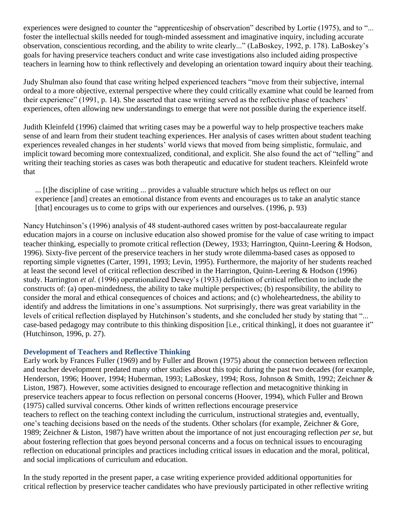experiences were designed to counter the "apprenticeship of observation" described by Lortie (1975), and to "... foster the intellectual skills needed for tough-minded assessment and imaginative inquiry, including accurate observation, conscientious recording, and the ability to write clearly..." (LaBoskey, 1992, p. 178). LaBoskey's goals for having preservice teachers conduct and write case investigations also included aiding prospective teachers in learning how to think reflectively and developing an orientation toward inquiry about their teaching.

Judy Shulman also found that case writing helped experienced teachers "move from their subjective, internal ordeal to a more objective, external perspective where they could critically examine what could be learned from their experience" (1991, p. 14). She asserted that case writing served as the reflective phase of teachers' experiences, often allowing new understandings to emerge that were not possible during the experience itself.

Judith Kleinfeld (1996) claimed that writing cases may be a powerful way to help prospective teachers make sense of and learn from their student teaching experiences. Her analysis of cases written about student teaching experiences revealed changes in her students' world views that moved from being simplistic, formulaic, and implicit toward becoming more contextualized, conditional, and explicit. She also found the act of "telling" and writing their teaching stories as cases was both therapeutic and educative for student teachers. Kleinfeld wrote that

... [t]he discipline of case writing ... provides a valuable structure which helps us reflect on our experience [and] creates an emotional distance from events and encourages us to take an analytic stance [that] encourages us to come to grips with our experiences and ourselves. (1996, p. 93)

Nancy Hutchinson's (1996) analysis of 48 student-authored cases written by post-baccalaureate regular education majors in a course on inclusive education also showed promise for the value of case writing to impact teacher thinking, especially to promote critical reflection (Dewey, 1933; Harrington, Quinn-Leering & Hodson, 1996). Sixty-five percent of the preservice teachers in her study wrote dilemma-based cases as opposed to reporting simple vignettes (Carter, 1991, 1993; Levin, 1995). Furthermore, the majority of her students reached at least the second level of critical reflection described in the Harrington, Quinn-Leering & Hodson (1996) study. Harrington *et al*. (1996) operationalized Dewey's (1933) definition of critical reflection to include the constructs of: (a) open-mindedness, the ability to take multiple perspectives; (b) responsibility, the ability to consider the moral and ethical consequences of choices and actions; and (c) wholeheartedness, the ability to identify and address the limitations in one's assumptions. Not surprisingly, there was great variability in the levels of critical reflection displayed by Hutchinson's students, and she concluded her study by stating that "... case-based pedagogy may contribute to this thinking disposition [i.e., critical thinking], it does not guarantee it" (Hutchinson, 1996, p. 27).

## **Development of Teachers and Reflective Thinking**

Early work by Frances Fuller (1969) and by Fuller and Brown (1975) about the connection between reflection and teacher development predated many other studies about this topic during the past two decades (for example, Henderson, 1996; Hoover, 1994; Huberman, 1993; LaBoskey, 1994; Ross, Johnson & Smith, 1992; Zeichner & Liston, 1987). However, some activities designed to encourage reflection and metacognitive thinking in preservice teachers appear to focus reflection on personal concerns (Hoover, 1994), which Fuller and Brown (1975) called survival concerns. Other kinds of written reflections encourage preservice teachers to reflect on the teaching context including the curriculum, instructional strategies and, eventually, one's teaching decisions based on the needs of the students. Other scholars (for example, Zeichner & Gore, 1989; Zeichner & Liston, 1987) have written about the importance of not just encouraging reflection *per se*, but about fostering reflection that goes beyond personal concerns and a focus on technical issues to encouraging reflection on educational principles and practices including critical issues in education and the moral, political, and social implications of curriculum and education.

In the study reported in the present paper, a case writing experience provided additional opportunities for critical reflection by preservice teacher candidates who have previously participated in other reflective writing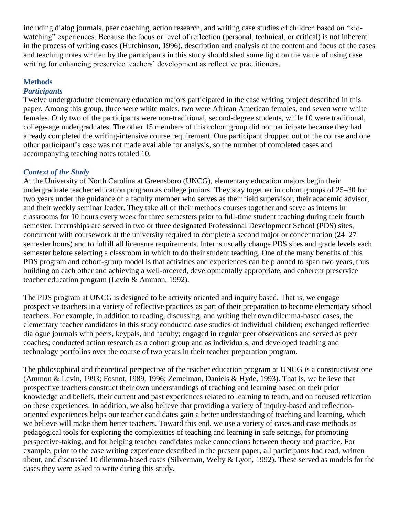including dialog journals, peer coaching, action research, and writing case studies of children based on "kidwatching" experiences. Because the focus or level of reflection (personal, technical, or critical) is not inherent in the process of writing cases (Hutchinson, 1996), description and analysis of the content and focus of the cases and teaching notes written by the participants in this study should shed some light on the value of using case writing for enhancing preservice teachers' development as reflective practitioners.

## **Methods**

### *Participants*

Twelve undergraduate elementary education majors participated in the case writing project described in this paper. Among this group, three were white males, two were African American females, and seven were white females. Only two of the participants were non-traditional, second-degree students, while 10 were traditional, college-age undergraduates. The other 15 members of this cohort group did not participate because they had already completed the writing-intensive course requirement. One participant dropped out of the course and one other participant's case was not made available for analysis, so the number of completed cases and accompanying teaching notes totaled 10.

### *Context of the Study*

At the University of North Carolina at Greensboro (UNCG), elementary education majors begin their undergraduate teacher education program as college juniors. They stay together in cohort groups of 25–30 for two years under the guidance of a faculty member who serves as their field supervisor, their academic advisor, and their weekly seminar leader. They take all of their methods courses together and serve as interns in classrooms for 10 hours every week for three semesters prior to full-time student teaching during their fourth semester. Internships are served in two or three designated Professional Development School (PDS) sites, concurrent with coursework at the university required to complete a second major or concentration (24–27 semester hours) and to fulfill all licensure requirements. Interns usually change PDS sites and grade levels each semester before selecting a classroom in which to do their student teaching. One of the many benefits of this PDS program and cohort-group model is that activities and experiences can be planned to span two years, thus building on each other and achieving a well-ordered, developmentally appropriate, and coherent preservice teacher education program (Levin & Ammon, 1992).

The PDS program at UNCG is designed to be activity oriented and inquiry based. That is, we engage prospective teachers in a variety of reflective practices as part of their preparation to become elementary school teachers. For example, in addition to reading, discussing, and writing their own dilemma-based cases, the elementary teacher candidates in this study conducted case studies of individual children; exchanged reflective dialogue journals with peers, keypals, and faculty; engaged in regular peer observations and served as peer coaches; conducted action research as a cohort group and as individuals; and developed teaching and technology portfolios over the course of two years in their teacher preparation program.

The philosophical and theoretical perspective of the teacher education program at UNCG is a constructivist one (Ammon & Levin, 1993; Fosnot, 1989, 1996; Zemelman, Daniels & Hyde, 1993). That is, we believe that prospective teachers construct their own understandings of teaching and learning based on their prior knowledge and beliefs, their current and past experiences related to learning to teach, and on focused reflection on these experiences. In addition, we also believe that providing a variety of inquiry-based and reflectionoriented experiences helps our teacher candidates gain a better understanding of teaching and learning, which we believe will make them better teachers. Toward this end, we use a variety of cases and case methods as pedagogical tools for exploring the complexities of teaching and learning in safe settings, for promoting perspective-taking, and for helping teacher candidates make connections between theory and practice. For example, prior to the case writing experience described in the present paper, all participants had read, written about, and discussed 10 dilemma-based cases (Silverman, Welty & Lyon, 1992). These served as models for the cases they were asked to write during this study.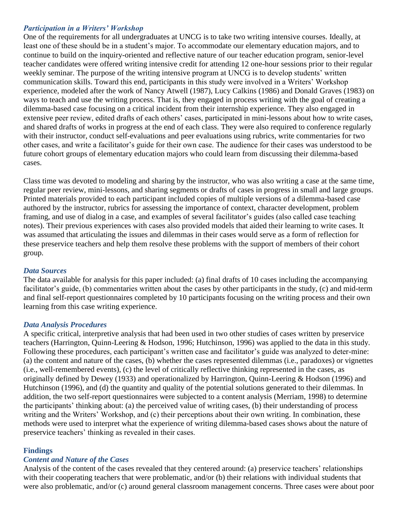## *Participation in a Writers' Workshop*

One of the requirements for all undergraduates at UNCG is to take two writing intensive courses. Ideally, at least one of these should be in a student's major. To accommodate our elementary education majors, and to continue to build on the inquiry-oriented and reflective nature of our teacher education program, senior-level teacher candidates were offered writing intensive credit for attending 12 one-hour sessions prior to their regular weekly seminar. The purpose of the writing intensive program at UNCG is to develop students' written communication skills. Toward this end, participants in this study were involved in a Writers' Workshop experience, modeled after the work of Nancy Atwell (1987), Lucy Calkins (1986) and Donald Graves (1983) on ways to teach and use the writing process. That is, they engaged in process writing with the goal of creating a dilemma-based case focusing on a critical incident from their internship experience. They also engaged in extensive peer review, edited drafts of each others' cases, participated in mini-lessons about how to write cases, and shared drafts of works in progress at the end of each class. They were also required to conference regularly with their instructor, conduct self-evaluations and peer evaluations using rubrics, write commentaries for two other cases, and write a facilitator's guide for their own case. The audience for their cases was understood to be future cohort groups of elementary education majors who could learn from discussing their dilemma-based cases.

Class time was devoted to modeling and sharing by the instructor, who was also writing a case at the same time, regular peer review, mini-lessons, and sharing segments or drafts of cases in progress in small and large groups. Printed materials provided to each participant included copies of multiple versions of a dilemma-based case authored by the instructor, rubrics for assessing the importance of context, character development, problem framing, and use of dialog in a case, and examples of several facilitator's guides (also called case teaching notes). Their previous experiences with cases also provided models that aided their learning to write cases. It was assumed that articulating the issues and dilemmas in their cases would serve as a form of reflection for these preservice teachers and help them resolve these problems with the support of members of their cohort group.

### *Data Sources*

The data available for analysis for this paper included: (a) final drafts of 10 cases including the accompanying facilitator's guide, (b) commentaries written about the cases by other participants in the study, (c) and mid-term and final self-report questionnaires completed by 10 participants focusing on the writing process and their own learning from this case writing experience.

### *Data Analysis Procedures*

A specific critical, interpretive analysis that had been used in two other studies of cases written by preservice teachers (Harrington, Quinn-Leering & Hodson, 1996; Hutchinson, 1996) was applied to the data in this study. Following these procedures, each participant's written case and facilitator's guide was analyzed to deter-mine: (a) the content and nature of the cases, (b) whether the cases represented dilemmas (i.e., paradoxes) or vignettes (i.e., well-remembered events), (c) the level of critically reflective thinking represented in the cases, as originally defined by Dewey (1933) and operationalized by Harrington, Quinn-Leering & Hodson (1996) and Hutchinson (1996), and (d) the quantity and quality of the potential solutions generated to their dilemmas. In addition, the two self-report questionnaires were subjected to a content analysis (Merriam, 1998) to determine the participants' thinking about: (a) the perceived value of writing cases, (b) their understanding of process writing and the Writers' Workshop, and (c) their perceptions about their own writing. In combination, these methods were used to interpret what the experience of writing dilemma-based cases shows about the nature of preservice teachers' thinking as revealed in their cases.

### **Findings**

### *Content and Nature of the Cases*

Analysis of the content of the cases revealed that they centered around: (a) preservice teachers' relationships with their cooperating teachers that were problematic, and/or (b) their relations with individual students that were also problematic, and/or (c) around general classroom management concerns. Three cases were about poor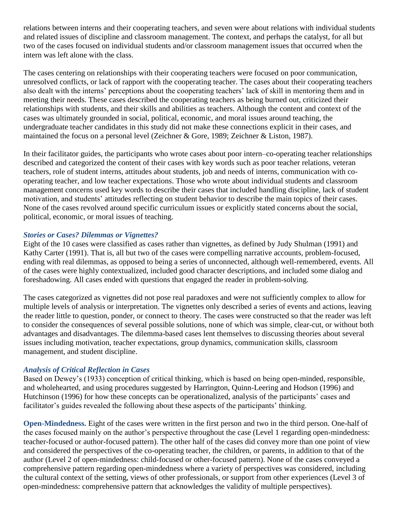relations between interns and their cooperating teachers, and seven were about relations with individual students and related issues of discipline and classroom management. The context, and perhaps the catalyst, for all but two of the cases focused on individual students and/or classroom management issues that occurred when the intern was left alone with the class.

The cases centering on relationships with their cooperating teachers were focused on poor communication, unresolved conflicts, or lack of rapport with the cooperating teacher. The cases about their cooperating teachers also dealt with the interns' perceptions about the cooperating teachers' lack of skill in mentoring them and in meeting their needs. These cases described the cooperating teachers as being burned out, criticized their relationships with students, and their skills and abilities as teachers. Although the content and context of the cases was ultimately grounded in social, political, economic, and moral issues around teaching, the undergraduate teacher candidates in this study did not make these connections explicit in their cases, and maintained the focus on a personal level (Zeichner & Gore, 1989; Zeichner & Liston, 1987).

In their facilitator guides, the participants who wrote cases about poor intern–co-operating teacher relationships described and categorized the content of their cases with key words such as poor teacher relations, veteran teachers, role of student interns, attitudes about students, job and needs of interns, communication with cooperating teacher, and low teacher expectations. Those who wrote about individual students and classroom management concerns used key words to describe their cases that included handling discipline, lack of student motivation, and students' attitudes reflecting on student behavior to describe the main topics of their cases. None of the cases revolved around specific curriculum issues or explicitly stated concerns about the social, political, economic, or moral issues of teaching.

## *Stories or Cases? Dilemmas or Vignettes?*

Eight of the 10 cases were classified as cases rather than vignettes, as defined by Judy Shulman (1991) and Kathy Carter (1991). That is, all but two of the cases were compelling narrative accounts, problem-focused, ending with real dilemmas, as opposed to being a series of unconnected, although well-remembered, events. All of the cases were highly contextualized, included good character descriptions, and included some dialog and foreshadowing. All cases ended with questions that engaged the reader in problem-solving.

The cases categorized as vignettes did not pose real paradoxes and were not sufficiently complex to allow for multiple levels of analysis or interpretation. The vignettes only described a series of events and actions, leaving the reader little to question, ponder, or connect to theory. The cases were constructed so that the reader was left to consider the consequences of several possible solutions, none of which was simple, clear-cut, or without both advantages and disadvantages. The dilemma-based cases lent themselves to discussing theories about several issues including motivation, teacher expectations, group dynamics, communication skills, classroom management, and student discipline.

## *Analysis of Critical Reflection in Cases*

Based on Dewey's (1933) conception of critical thinking, which is based on being open-minded, responsible, and wholehearted, and using procedures suggested by Harrington, Quinn-Leering and Hodson (1996) and Hutchinson (1996) for how these concepts can be operationalized, analysis of the participants' cases and facilitator's guides revealed the following about these aspects of the participants' thinking.

**Open-Mindedness.** Eight of the cases were written in the first person and two in the third person. One-half of the cases focused mainly on the author's perspective throughout the case (Level 1 regarding open-mindedness: teacher-focused or author-focused pattern). The other half of the cases did convey more than one point of view and considered the perspectives of the co-operating teacher, the children, or parents, in addition to that of the author (Level 2 of open-mindedness: child-focused or other-focused pattern). None of the cases conveyed a comprehensive pattern regarding open-mindedness where a variety of perspectives was considered, including the cultural context of the setting, views of other professionals, or support from other experiences (Level 3 of open-mindedness: comprehensive pattern that acknowledges the validity of multiple perspectives).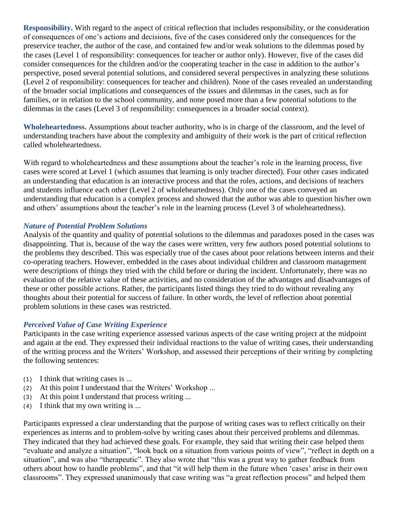**Responsibility.** With regard to the aspect of critical reflection that includes responsibility, or the consideration of consequences of one's actions and decisions, five of the cases considered only the consequences for the preservice teacher, the author of the case, and contained few and/or weak solutions to the dilemmas posed by the cases (Level 1 of responsibility: consequences for teacher or author only). However, five of the cases did consider consequences for the children and/or the cooperating teacher in the case in addition to the author's perspective, posed several potential solutions, and considered several perspectives in analyzing these solutions (Level 2 of responsibility: consequences for teacher and children). None of the cases revealed an understanding of the broader social implications and consequences of the issues and dilemmas in the cases, such as for families, or in relation to the school community, and none posed more than a few potential solutions to the dilemmas in the cases (Level 3 of responsibility: consequences in a broader social context).

**Wholeheartedness.** Assumptions about teacher authority, who is in charge of the classroom, and the level of understanding teachers have about the complexity and ambiguity of their work is the part of critical reflection called wholeheartedness.

With regard to wholeheartedness and these assumptions about the teacher's role in the learning process, five cases were scored at Level 1 (which assumes that learning is only teacher directed). Four other cases indicated an understanding that education is an interactive process and that the roles, actions, and decisions of teachers and students influence each other (Level 2 of wholeheartedness). Only one of the cases conveyed an understanding that education is a complex process and showed that the author was able to question his/her own and others' assumptions about the teacher's role in the learning process (Level 3 of wholeheartedness).

## *Nature of Potential Problem Solutions*

Analysis of the quantity and quality of potential solutions to the dilemmas and paradoxes posed in the cases was disappointing. That is, because of the way the cases were written, very few authors posed potential solutions to the problems they described. This was especially true of the cases about poor relations between interns and their co-operating teachers. However, embedded in the cases about individual children and classroom management were descriptions of things they tried with the child before or during the incident. Unfortunately, there was no evaluation of the relative value of these activities, and no consideration of the advantages and disadvantages of these or other possible actions. Rather, the participants listed things they tried to do without revealing any thoughts about their potential for success of failure. In other words, the level of reflection about potential problem solutions in these cases was restricted.

# *Perceived Value of Case Writing Experience*

Participants in the case writing experience assessed various aspects of the case writing project at the midpoint and again at the end. They expressed their individual reactions to the value of writing cases, their understanding of the writing process and the Writers' Workshop, and assessed their perceptions of their writing by completing the following sentences:

- (1) I think that writing cases is ...
- (2) At this point I understand that the Writers' Workshop ...
- (3) At this point I understand that process writing ...
- (4) I think that my own writing is ...

Participants expressed a clear understanding that the purpose of writing cases was to reflect critically on their experiences as interns and to problem-solve by writing cases about their perceived problems and dilemmas. They indicated that they had achieved these goals. For example, they said that writing their case helped them "evaluate and analyze a situation", "look back on a situation from various points of view", "reflect in depth on a situation", and was also "therapeutic". They also wrote that "this was a great way to gather feedback from others about how to handle problems", and that "it will help them in the future when 'cases' arise in their own classrooms". They expressed unanimously that case writing was "a great reflection process" and helped them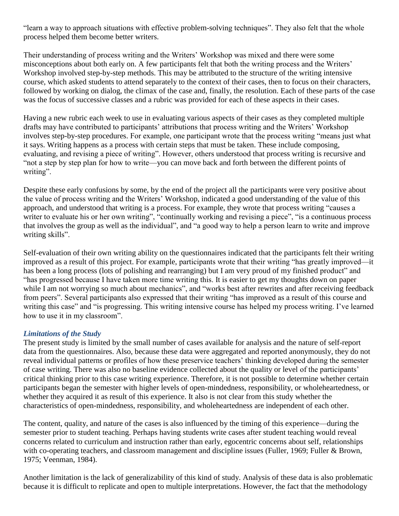"learn a way to approach situations with effective problem-solving techniques". They also felt that the whole process helped them become better writers.

Their understanding of process writing and the Writers' Workshop was mixed and there were some misconceptions about both early on. A few participants felt that both the writing process and the Writers' Workshop involved step-by-step methods. This may be attributed to the structure of the writing intensive course, which asked students to attend separately to the context of their cases, then to focus on their characters, followed by working on dialog, the climax of the case and, finally, the resolution. Each of these parts of the case was the focus of successive classes and a rubric was provided for each of these aspects in their cases.

Having a new rubric each week to use in evaluating various aspects of their cases as they completed multiple drafts may have contributed to participants' attributions that process writing and the Writers' Workshop involves step-by-step procedures. For example, one participant wrote that the process writing "means just what it says. Writing happens as a process with certain steps that must be taken. These include composing, evaluating, and revising a piece of writing". However, others understood that process writing is recursive and ―not a step by step plan for how to write—you can move back and forth between the different points of writing".

Despite these early confusions by some, by the end of the project all the participants were very positive about the value of process writing and the Writers' Workshop, indicated a good understanding of the value of this approach, and understood that writing is a process. For example, they wrote that process writing "causes a writer to evaluate his or her own writing", "continually working and revising a piece", "is a continuous process that involves the group as well as the individual", and "a good way to help a person learn to write and improve writing skills".

Self-evaluation of their own writing ability on the questionnaires indicated that the participants felt their writing improved as a result of this project. For example, participants wrote that their writing "has greatly improved—it has been a long process (lots of polishing and rearranging) but I am very proud of my finished product" and ―has progressed because I have taken more time writing this. It is easier to get my thoughts down on paper while I am not worrying so much about mechanics", and "works best after rewrites and after receiving feedback from peers". Several participants also expressed that their writing "has improved as a result of this course and writing this case" and "is progressing. This writing intensive course has helped my process writing. I've learned how to use it in my classroom".

## *Limitations of the Study*

The present study is limited by the small number of cases available for analysis and the nature of self-report data from the questionnaires. Also, because these data were aggregated and reported anonymously, they do not reveal individual patterns or profiles of how these preservice teachers' thinking developed during the semester of case writing. There was also no baseline evidence collected about the quality or level of the participants' critical thinking prior to this case writing experience. Therefore, it is not possible to determine whether certain participants began the semester with higher levels of open-mindedness, responsibility, or wholeheartedness, or whether they acquired it as result of this experience. It also is not clear from this study whether the characteristics of open-mindedness, responsibility, and wholeheartedness are independent of each other.

The content, quality, and nature of the cases is also influenced by the timing of this experience—during the semester prior to student teaching. Perhaps having students write cases after student teaching would reveal concerns related to curriculum and instruction rather than early, egocentric concerns about self, relationships with co-operating teachers, and classroom management and discipline issues (Fuller, 1969; Fuller & Brown, 1975; Veenman, 1984).

Another limitation is the lack of generalizability of this kind of study. Analysis of these data is also problematic because it is difficult to replicate and open to multiple interpretations. However, the fact that the methodology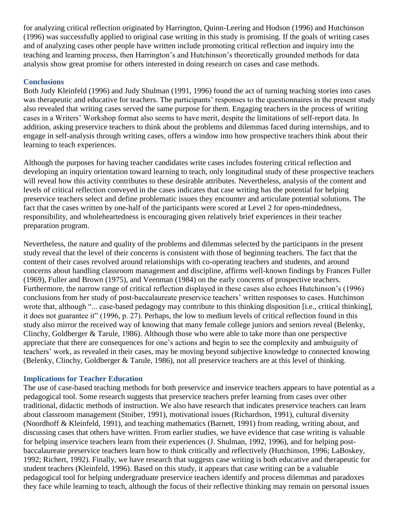for analyzing critical reflection originated by Harrington, Quinn-Leering and Hodson (1996) and Hutchinson (1996) was successfully applied to original case writing in this study is promising. If the goals of writing cases and of analyzing cases other people have written include promoting critical reflection and inquiry into the teaching and learning process, then Harrington's and Hutchinson's theoretically grounded methods for data analysis show great promise for others interested in doing research on cases and case methods.

## **Conclusions**

Both Judy Kleinfeld (1996) and Judy Shulman (1991, 1996) found the act of turning teaching stories into cases was therapeutic and educative for teachers. The participants' responses to the questionnaires in the present study also revealed that writing cases served the same purpose for them. Engaging teachers in the process of writing cases in a Writers' Workshop format also seems to have merit, despite the limitations of self-report data. In addition, asking preservice teachers to think about the problems and dilemmas faced during internships, and to engage in self-analysis through writing cases, offers a window into how prospective teachers think about their learning to teach experiences.

Although the purposes for having teacher candidates write cases includes fostering critical reflection and developing an inquiry orientation toward learning to teach, only longitudinal study of these prospective teachers will reveal how this activity contributes to these desirable attributes. Nevertheless, analysis of the content and levels of critical reflection conveyed in the cases indicates that case writing has the potential for helping preservice teachers select and define problematic issues they encounter and articulate potential solutions. The fact that the cases written by one-half of the participants were scored at Level 2 for open-mindedness, responsibility, and wholeheartedness is encouraging given relatively brief experiences in their teacher preparation program.

Nevertheless, the nature and quality of the problems and dilemmas selected by the participants in the present study reveal that the level of their concerns is consistent with those of beginning teachers. The fact that the content of their cases revolved around relationships with co-operating teachers and students, and around concerns about handling classroom management and discipline, affirms well-known findings by Frances Fuller (1969), Fuller and Brown (1975), and Veenman (1984) on the early concerns of prospective teachers. Furthermore, the narrow range of critical reflection displayed in these cases also echoes Hutchinson's (1996) conclusions from her study of post-baccalaureate preservice teachers' written responses to cases. Hutchinson wrote that, although "... case-based pedagogy may contribute to this thinking disposition [i.e., critical thinking], it does not guarantee it" (1996, p. 27). Perhaps, the low to medium levels of critical reflection found in this study also mirror the received way of knowing that many female college juniors and seniors reveal (Belenky, Clinchy, Goldberger & Tarule, 1986). Although those who were able to take more than one perspective appreciate that there are consequences for one's actions and begin to see the complexity and ambuiguity of teachers' work, as revealed in their cases, may be moving beyond subjective knowledge to connected knowing (Belenky, Clinchy, Goldberger & Tarule, 1986), not all preservice teachers are at this level of thinking.

### **Implications for Teacher Education**

The use of case-based teaching methods for both preservice and inservice teachers appears to have potential as a pedagogical tool. Some research suggests that preservice teachers prefer learning from cases over other traditional, didactic methods of instruction. We also have research that indicates preservice teachers can learn about classroom management (Stoiber, 1991), motivational issues (Richardson, 1991), cultural diversity (Noordhoff & Kleinfeld, 1991), and teaching mathematics (Barnett, 1991) from reading, writing about, and discussing cases that others have written. From earlier studies, we have evidence that case writing is valuable for helping inservice teachers learn from their experiences (J. Shulman, 1992, 1996), and for helping postbaccalaureate preservice teachers learn how to think critically and reflectively (Hutchinson, 1996; LaBoskey, 1992; Richert, 1992). Finally, we have research that suggests case writing is both educative and therapeutic for student teachers (Kleinfeld, 1996). Based on this study, it appears that case writing can be a valuable pedagogical tool for helping undergraduate preservice teachers identify and process dilemmas and paradoxes they face while learning to teach, although the focus of their reflective thinking may remain on personal issues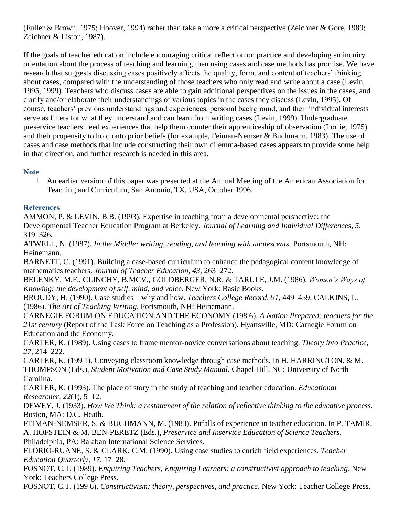(Fuller & Brown, 1975; Hoover, 1994) rather than take a more a critical perspective (Zeichner & Gore, 1989; Zeichner & Liston, 1987).

If the goals of teacher education include encouraging critical reflection on practice and developing an inquiry orientation about the process of teaching and learning, then using cases and case methods has promise. We have research that suggests discussing cases positively affects the quality, form, and content of teachers' thinking about cases, compared with the understanding of those teachers who only read and write about a case (Levin, 1995, 1999). Teachers who discuss cases are able to gain additional perspectives on the issues in the cases, and clarify and/or elaborate their understandings of various topics in the cases they discuss (Levin, 1995). Of course, teachers' previous understandings and experiences, personal background, and their individual interests serve as filters for what they understand and can learn from writing cases (Levin, 1999). Undergraduate preservice teachers need experiences that help them counter their apprenticeship of observation (Lortie, 1975) and their propensity to hold onto prior beliefs (for example, Feiman-Nemser & Buchmann, 1983). The use of cases and case methods that include constructing their own dilemma-based cases appears to provide some help in that direction, and further research is needed in this area.

# **Note**

1. An earlier version of this paper was presented at the Annual Meeting of the American Association for Teaching and Curriculum, San Antonio, TX, USA, October 1996.

## **References**

AMMON, P. & LEVIN, B.B. (1993). Expertise in teaching from a developmental perspective: the Developmental Teacher Education Program at Berkeley. *Journal of Learning and Individual Differences*, *5*, 319–326.

ATWELL, N. (1987). *In the Middle: writing, reading, and learning with adolescents.* Portsmouth, NH: Heinemann.

BARNETT, C. (1991). Building a case-based curriculum to enhance the pedagogical content knowledge of mathematics teachers. *Journal of Teacher Education*, *43*, 263–272.

BELENKY, M.F., CLINCHY, B.MCV., GOLDBERGER, N.R. & TARULE, J.M. (1986). *Women's Ways of Knowing: the development of self, mind, and voice*. New York: Basic Books.

BROUDY, H. (1990). Case studies—why and how. *Teachers College Record*, *91*, 449–459. CALKINS, L. (1986). *The Art of Teaching Writing*. Portsmouth, NH: Heinemann.

CARNEGIE FORUM ON EDUCATION AND THE ECONOMY (198 6). *A Nation Prepared: teachers for the 21st century* (Report of the Task Force on Teaching as a Profession). Hyattsville, MD: Carnegie Forum on Education and the Economy.

CARTER, K. (1989). Using cases to frame mentor-novice conversations about teaching. *Theory into Practice*, *27*, 214–222.

CARTER, K. (199 1). Conveying classroom knowledge through case methods. In H. HARRINGTON. & M. THOMPSON (Eds.), *Student Motivation and Case Study Manual*. Chapel Hill, NC: University of North Carolina.

CARTER, K. (1993). The place of story in the study of teaching and teacher education. *Educational Researcher*, *22*(1), 5–12.

DEWEY, J. (1933). *How We Think: a restatement of the relation of reflective thinking to the educative process*. Boston, MA: D.C. Heath.

FEIMAN-NEMSER, S. & BUCHMANN, M. (1983). Pitfalls of experience in teacher education. In P. TAMIR, A. HOFSTEIN & M. BEN-PERETZ (Eds.), *Preservice and Inservice Education of Science Teachers*. Philadelphia, PA: Balaban International Science Services.

FLORIO-RUANE, S. & CLARK, C.M. (1990). Using case studies to enrich field experiences. *Teacher Education Quarterly*, *17*, 17–28.

FOSNOT, C.T. (1989). *Enquiring Teachers, Enquiring Learners: a constructivist approach to teaching*. New York: Teachers College Press.

FOSNOT, C.T. (199 6). *Constructivism: theory, perspectives, and practice*. New York: Teacher College Press.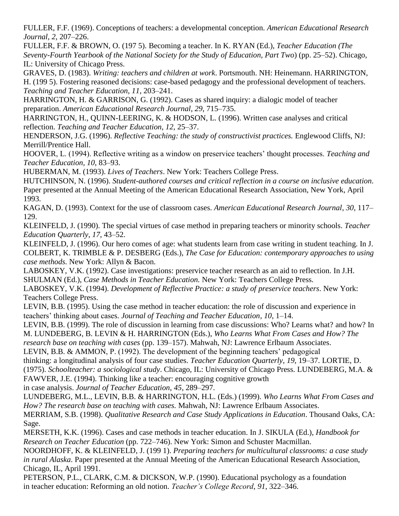FULLER, F.F. (1969). Conceptions of teachers: a developmental conception. *American Educational Research Journal*, *2*, 207–226.

FULLER, F.F. & BROWN, O. (197 5). Becoming a teacher. In K. RYAN (Ed.), *Teacher Education (The Seventy-Fourth Yearbook of the National Society for the Study of Education, Part Two*) (pp. 25–52). Chicago, IL: University of Chicago Press.

GRAVES, D. (1983). *Writing: teachers and children at work*. Portsmouth. NH: Heinemann. HARRINGTON, H. (199 5). Fostering reasoned decisions: case-based pedagogy and the professional development of teachers. *Teaching and Teacher Education*, *11*, 203–241.

HARRINGTON, H. & GARRISON, G. (1992). Cases as shared inquiry: a dialogic model of teacher preparation. *American Educational Research Journal*, *29*, 715–735.

HARRINGTON, H., QUINN-LEERING, K. & HODSON, L. (1996). Written case analyses and critical reflection. *Teaching and Teacher Education*, *12*, 25–37.

HENDERSON, J.G. (1996). *Reflective Teaching: the study of constructivist practices.* Englewood Cliffs, NJ: Merrill/Prentice Hall.

HOOVER, L. (1994). Reflective writing as a window on preservice teachers' thought processes. *Teaching and Teacher Education*, *10*, 83–93.

HUBERMAN, M. (1993). *Lives of Teachers*. New York: Teachers College Press.

HUTCHINSON, N. (1996). *Student-authored courses and critical reflection in a course on inclusive education*. Paper presented at the Annual Meeting of the American Educational Research Association, New York, April 1993.

KAGAN, D. (1993). Context for the use of classroom cases. *American Educational Research Journal*, *30*, 117– 129.

KLEINFELD, J. (1990). The special virtues of case method in preparing teachers or minority schools. *Teacher Education Quarterly*, *17*, 43–52.

KLEINFELD, J. (1996). Our hero comes of age: what students learn from case writing in student teaching. In J. COLBERT, K. TRIMBLE & P. DESBERG (Eds.), *The Case for Education: contemporary approaches to using case methods.* New York: Allyn & Bacon.

LABOSKEY, V.K. (1992). Case investigations: preservice teacher research as an aid to reflection. In J.H. SHULMAN (Ed.), *Case Methods in Teacher Education.* New York: Teachers College Press.

LABOSKEY, V.K. (1994). *Development of Reflective Practice: a study of preservice teachers*. New York: Teachers College Press.

LEVIN, B.B. (1995). Using the case method in teacher education: the role of discussion and experience in teachers' thinking about cases. *Journal of Teaching and Teacher Education*, *10*, 1–14.

LEVIN, B.B. (1999). The role of discussion in learning from case discussions: Who? Learns what? and how? In M. LUNDEBERG, B. LEVIN & H. HARRINGTON (Eds.), *Who Learns What From Cases and How? The* 

*research base on teaching with cases* (pp. 139–157). Mahwah, NJ: Lawrence Erlbaum Associates.

LEVIN, B.B. & AMMON, P. (1992). The development of the beginning teachers' pedagogical

thinking: a longitudinal analysis of four case studies. *Teacher Education Quarterly*, *19*, 19–37. LORTIE, D. (1975). *Schoolteacher: a sociological study*. Chicago, IL: University of Chicago Press. LUNDEBERG, M.A. &

FAWVER, J.E. (1994). Thinking like a teacher: encouraging cognitive growth

in case analysis. *Journal of Teacher Education*, *45*, 289–297.

LUNDEBERG, M.L., LEVIN, B.B. & HARRINGTON, H.L. (Eds.) (1999). *Who Learns What From Cases and How? The research base on teaching with cases.* Mahwah, NJ: Lawrence Erlbaum Associates.

MERRIAM, S.B. (1998). *Qualitative Research and Case Study Applications in Education*. Thousand Oaks, CA: Sage.

MERSETH, K.K. (1996). Cases and case methods in teacher education. In J. SIKULA (Ed.), *Handbook for Research on Teacher Education* (pp. 722–746). New York: Simon and Schuster Macmillan.

NOORDHOFF, K. & KLEINFELD, J. (199 1). *Preparing teachers for multicultural classrooms: a case study in rural Alaska*. Paper presented at the Annual Meeting of the American Educational Research Association, Chicago, IL, April 1991.

PETERSON, P.L., CLARK, C.M. & DICKSON, W.P. (1990). Educational psychology as a foundation in teacher education: Reforming an old notion. *Teacher's College Record*, *91*, 322–346.